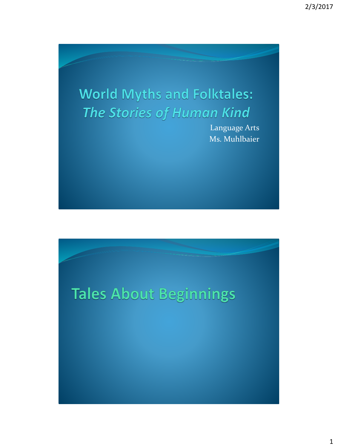# **World Myths and Folktales: The Stories of Human Kind**

Language Arts Ms. Muhlbaier

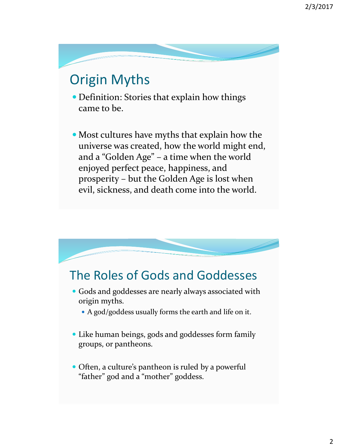## Origin Myths

• Definition: Stories that explain how things came to be.

 Most cultures have myths that explain how the universe was created, how the world might end, and a "Golden Age" – a time when the world enjoyed perfect peace, happiness, and prosperity – but the Golden Age is lost when evil, sickness, and death come into the world.

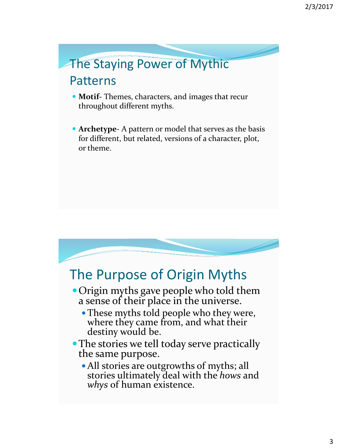### The Staying Power of Mythic Patterns

- **Motif-** Themes, characters, and images that recur throughout different myths.
- **Archetype-** A pattern or model that serves as the basis for different, but related, versions of a character, plot, or theme.

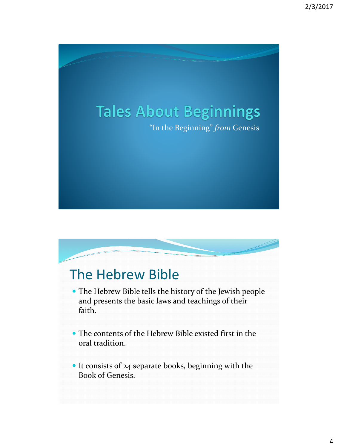



- The Hebrew Bible tells the history of the Jewish people and presents the basic laws and teachings of their faith.
- The contents of the Hebrew Bible existed first in the oral tradition.
- It consists of 24 separate books, beginning with the Book of Genesis.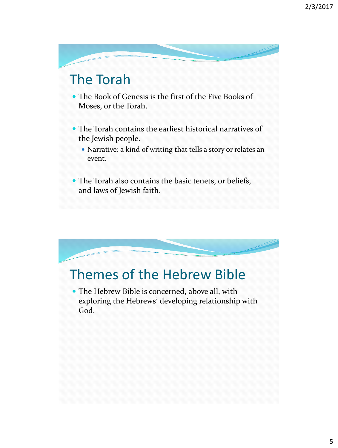#### The Torah

- The Book of Genesis is the first of the Five Books of Moses, or the Torah.
- The Torah contains the earliest historical narratives of the Jewish people.
	- Narrative: a kind of writing that tells a story or relates an event.
- The Torah also contains the basic tenets, or beliefs, and laws of Jewish faith.

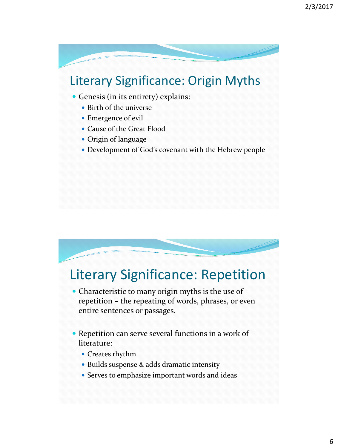#### Literary Significance: Origin Myths

- Genesis (in its entirety) explains:
	- Birth of the universe
	- Emergence of evil
	- Cause of the Great Flood
	- Origin of language
	- Development of God's covenant with the Hebrew people

#### Literary Significance: Repetition

- Characteristic to many origin myths is the use of repetition – the repeating of words, phrases, or even entire sentences or passages.
- Repetition can serve several functions in a work of literature:
	- Creates rhythm
	- Builds suspense & adds dramatic intensity
	- Serves to emphasize important words and ideas